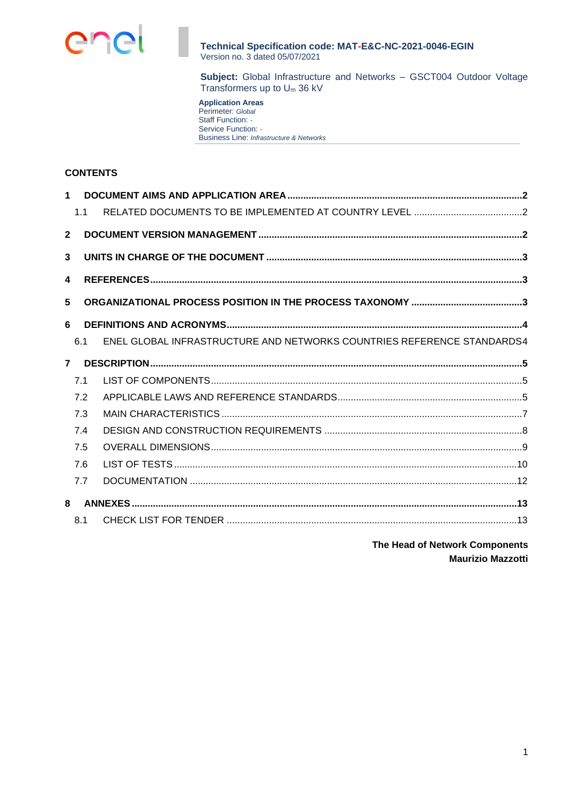

**Subject:** Global Infrastructure and Networks – GSCT004 Outdoor Voltage Transformers up to U<sup>m</sup> 36 kV

**Application Areas** Perimeter: *Global* Staff Function: *-* Service Function: *-* Business Line: *Infrastructure & Networks*

# **CONTENTS**

| $\mathbf 1$             |     |                                                                        |  |
|-------------------------|-----|------------------------------------------------------------------------|--|
|                         | 1.1 |                                                                        |  |
| $\overline{2}$          |     |                                                                        |  |
| 3                       |     |                                                                        |  |
| $\overline{\mathbf{4}}$ |     |                                                                        |  |
| 5                       |     |                                                                        |  |
| 6                       |     |                                                                        |  |
|                         | 6.1 | ENEL GLOBAL INFRASTRUCTURE AND NETWORKS COUNTRIES REFERENCE STANDARDS4 |  |
| $\overline{7}$          |     |                                                                        |  |
|                         | 7.1 |                                                                        |  |
|                         | 7.2 |                                                                        |  |
|                         | 7.3 |                                                                        |  |
|                         | 7.4 |                                                                        |  |
|                         | 7.5 |                                                                        |  |
|                         | 7.6 |                                                                        |  |
|                         | 7.7 |                                                                        |  |
| 8                       |     |                                                                        |  |
|                         | 8.1 |                                                                        |  |

**The Head of Network Components Maurizio Mazzotti**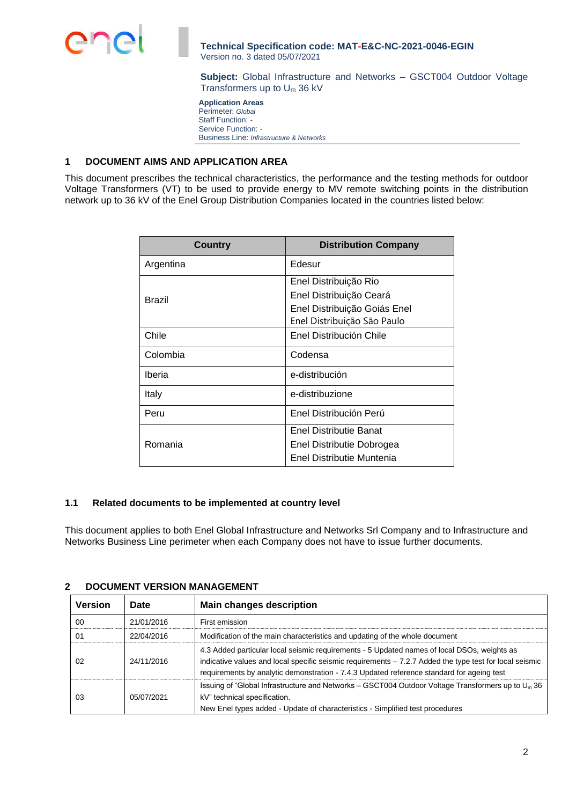**Subject:** Global Infrastructure and Networks – GSCT004 Outdoor Voltage Transformers up to U<sup>m</sup> 36 kV

**Application Areas** Perimeter: *Global* Staff Function: *-* Service Function: *-* Business Line: *Infrastructure & Networks*

# <span id="page-1-0"></span>**1 DOCUMENT AIMS AND APPLICATION AREA**

This document prescribes the technical characteristics, the performance and the testing methods for outdoor Voltage Transformers (VT) to be used to provide energy to MV remote switching points in the distribution network up to 36 kV of the Enel Group Distribution Companies located in the countries listed below:

| <b>Country</b> | <b>Distribution Company</b>  |
|----------------|------------------------------|
| Argentina      | Edesur                       |
|                | Enel Distribuição Rio        |
| Brazil         | Enel Distribuição Ceará      |
|                | Enel Distribuição Goiás Enel |
|                | Enel Distribuição São Paulo  |
| Chile          | Enel Distribución Chile      |
| Colombia       | Codensa                      |
| Iberia         | e-distribución               |
| Italy          | e-distribuzione              |
| Peru           | Enel Distribución Perú       |
|                | Enel Distributie Banat       |
| Romania        | Enel Distributie Dobrogea    |
|                | Enel Distributie Muntenia    |

### <span id="page-1-1"></span>**1.1 Related documents to be implemented at country level**

This document applies to both Enel Global Infrastructure and Networks Srl Company and to Infrastructure and Networks Business Line perimeter when each Company does not have to issue further documents.

| <b>Version</b> | Date       | <b>Main changes description</b>                                                                                                                                                                                                                                                                     |  |  |
|----------------|------------|-----------------------------------------------------------------------------------------------------------------------------------------------------------------------------------------------------------------------------------------------------------------------------------------------------|--|--|
| 00             | 21/01/2016 | First emission                                                                                                                                                                                                                                                                                      |  |  |
| 01             | 22/04/2016 | Modification of the main characteristics and updating of the whole document                                                                                                                                                                                                                         |  |  |
| 02             | 24/11/2016 | 4.3 Added particular local seismic requirements - 5 Updated names of local DSOs, weights as<br>indicative values and local specific seismic requirements - 7.2.7 Added the type test for local seismic<br>requirements by analytic demonstration - 7.4.3 Updated reference standard for ageing test |  |  |
| 03             | 05/07/2021 | Issuing of "Global Infrastructure and Networks – GSCT004 Outdoor Voltage Transformers up to $U_m$ 36<br>kV" technical specification.<br>New Enel types added - Update of characteristics - Simplified test procedures                                                                               |  |  |

# <span id="page-1-2"></span>**2 DOCUMENT VERSION MANAGEMENT**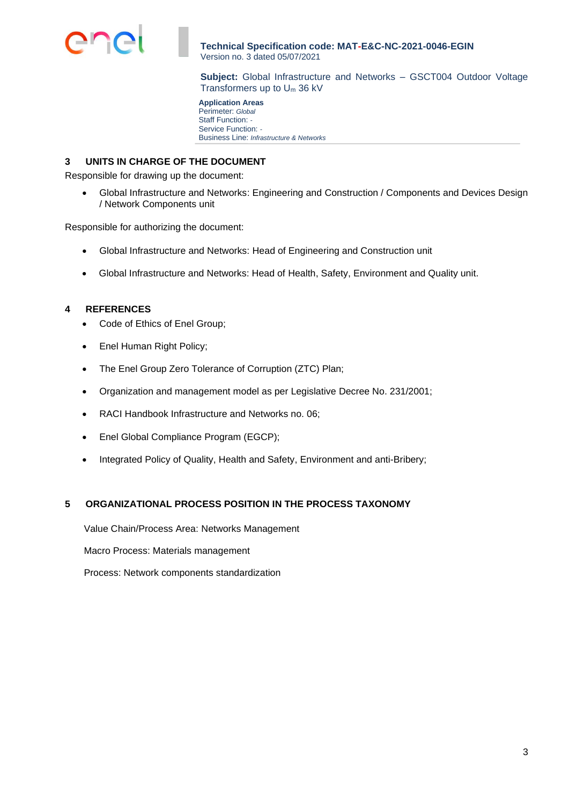

**Subject:** Global Infrastructure and Networks – GSCT004 Outdoor Voltage Transformers up to U<sup>m</sup> 36 kV

**Application Areas** Perimeter: *Global* Staff Function: *-* Service Function: *-* Business Line: *Infrastructure & Networks*

# <span id="page-2-0"></span>**3 UNITS IN CHARGE OF THE DOCUMENT**

Responsible for drawing up the document:

• Global Infrastructure and Networks: Engineering and Construction / Components and Devices Design / Network Components unit

Responsible for authorizing the document:

- Global Infrastructure and Networks: Head of Engineering and Construction unit
- Global Infrastructure and Networks: Head of Health, Safety, Environment and Quality unit.

# <span id="page-2-1"></span>**4 REFERENCES**

- Code of Ethics of Enel Group;
- Enel Human Right Policy;
- The Enel Group Zero Tolerance of Corruption (ZTC) Plan;
- Organization and management model as per Legislative Decree No. 231/2001;
- RACI Handbook Infrastructure and Networks no. 06;
- Enel Global Compliance Program (EGCP);
- Integrated Policy of Quality, Health and Safety, Environment and anti-Bribery;

# <span id="page-2-2"></span>**5 ORGANIZATIONAL PROCESS POSITION IN THE PROCESS TAXONOMY**

Value Chain/Process Area: Networks Management

Macro Process: Materials management

Process: Network components standardization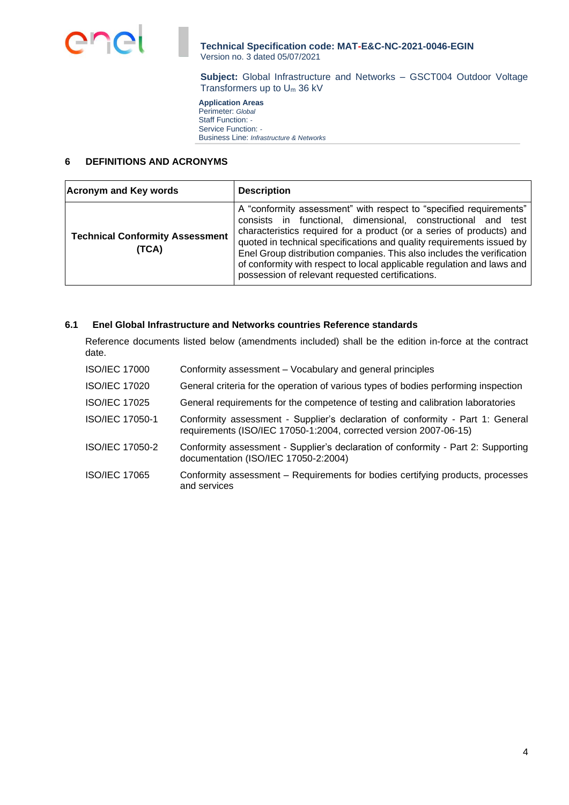

**Subject:** Global Infrastructure and Networks – GSCT004 Outdoor Voltage Transformers up to U<sup>m</sup> 36 kV

**Application Areas** Perimeter: *Global* Staff Function: *-* Service Function: *-* Business Line: *Infrastructure & Networks*

## <span id="page-3-0"></span>**6 DEFINITIONS AND ACRONYMS**

| <b>Acronym and Key words</b>                    | <b>Description</b>                                                                                                                                                                                                                                                                                                                                                                                                                                                                          |
|-------------------------------------------------|---------------------------------------------------------------------------------------------------------------------------------------------------------------------------------------------------------------------------------------------------------------------------------------------------------------------------------------------------------------------------------------------------------------------------------------------------------------------------------------------|
| <b>Technical Conformity Assessment</b><br>(TCA) | A "conformity assessment" with respect to "specified requirements"<br>consists in functional, dimensional, constructional and test<br>characteristics required for a product (or a series of products) and<br>quoted in technical specifications and quality requirements issued by<br>Enel Group distribution companies. This also includes the verification<br>of conformity with respect to local applicable regulation and laws and<br>possession of relevant requested certifications. |

# <span id="page-3-1"></span>**6.1 Enel Global Infrastructure and Networks countries Reference standards**

Reference documents listed below (amendments included) shall be the edition in-force at the contract date.

| <b>ISO/IEC 17000</b> | Conformity assessment – Vocabulary and general principles                                                                                           |
|----------------------|-----------------------------------------------------------------------------------------------------------------------------------------------------|
| <b>ISO/IEC 17020</b> | General criteria for the operation of various types of bodies performing inspection                                                                 |
| <b>ISO/IEC 17025</b> | General requirements for the competence of testing and calibration laboratories                                                                     |
| ISO/IEC 17050-1      | Conformity assessment - Supplier's declaration of conformity - Part 1: General<br>requirements (ISO/IEC 17050-1:2004, corrected version 2007-06-15) |
| ISO/IEC 17050-2      | Conformity assessment - Supplier's declaration of conformity - Part 2: Supporting<br>documentation (ISO/IEC 17050-2:2004)                           |
| <b>ISO/IEC 17065</b> | Conformity assessment – Requirements for bodies certifying products, processes<br>and services                                                      |
|                      |                                                                                                                                                     |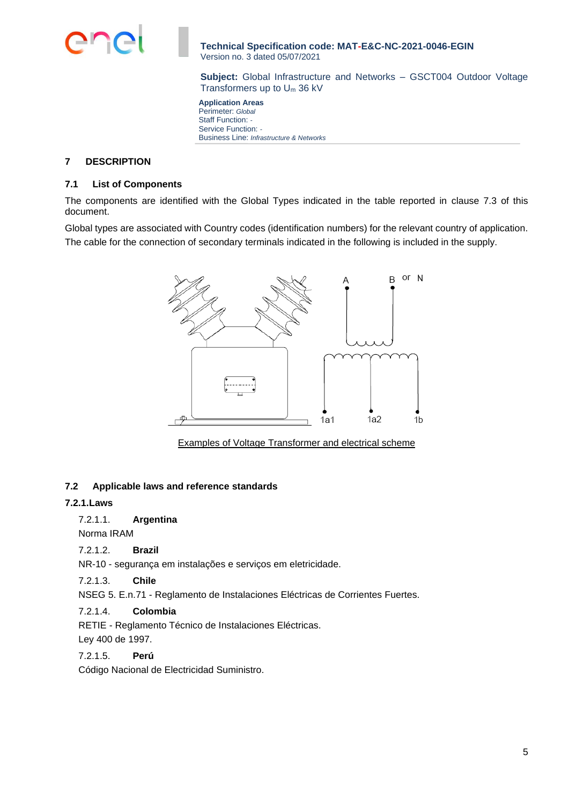

**Subject:** Global Infrastructure and Networks – GSCT004 Outdoor Voltage Transformers up to U<sup>m</sup> 36 kV

**Application Areas** Perimeter: *Global* Staff Function: *-* Service Function: *-* Business Line: *Infrastructure & Networks*

# <span id="page-4-0"></span>**7 DESCRIPTION**

# <span id="page-4-1"></span>**7.1 List of Components**

The components are identified with the Global Types indicated in the table reported in clause 7.3 of this document.

Global types are associated with Country codes (identification numbers) for the relevant country of application. The cable for the connection of secondary terminals indicated in the following is included in the supply.



Examples of Voltage Transformer and electrical scheme

# <span id="page-4-2"></span>**7.2 Applicable laws and reference standards**

# **7.2.1.Laws**

7.2.1.1. **Argentina**

Norma IRAM

# 7.2.1.2. **Brazil**

NR-10 - segurança em instalações e serviços em eletricidade.

7.2.1.3. **Chile**

NSEG 5. E.n.71 - Reglamento de Instalaciones Eléctricas de Corrientes Fuertes.

# 7.2.1.4. **Colombia**

RETIE - Reglamento Técnico de Instalaciones Eléctricas. Ley 400 de 1997.

### 7.2.1.5. **Perú**

Código Nacional de Electricidad Suministro.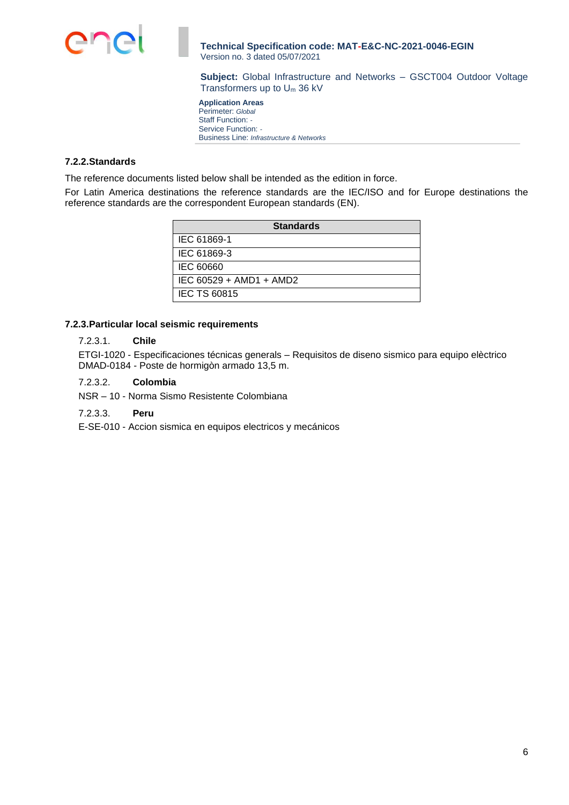

**Subject:** Global Infrastructure and Networks – GSCT004 Outdoor Voltage Transformers up to U<sup>m</sup> 36 kV

**Application Areas** Perimeter: *Global* Staff Function: *-* Service Function: *-* Business Line: *Infrastructure & Networks*

## **7.2.2.Standards**

The reference documents listed below shall be intended as the edition in force.

For Latin America destinations the reference standards are the IEC/ISO and for Europe destinations the reference standards are the correspondent European standards (EN).

| <b>Standards</b>        |
|-------------------------|
| IEC 61869-1             |
| IEC 61869-3             |
| IEC 60660               |
| IEC 60529 + AMD1 + AMD2 |
| <b>IEC TS 60815</b>     |

# **7.2.3.Particular local seismic requirements**

### 7.2.3.1. **Chile**

ETGI-1020 - Especificaciones técnicas generals – Requisitos de diseno sismico para equipo elèctrico DMAD-0184 - Poste de hormigòn armado 13,5 m.

- 7.2.3.2. **Colombia**
- NSR 10 Norma Sismo Resistente Colombiana

### 7.2.3.3. **Peru**

E-SE-010 - Accion sismica en equipos electricos y mecánicos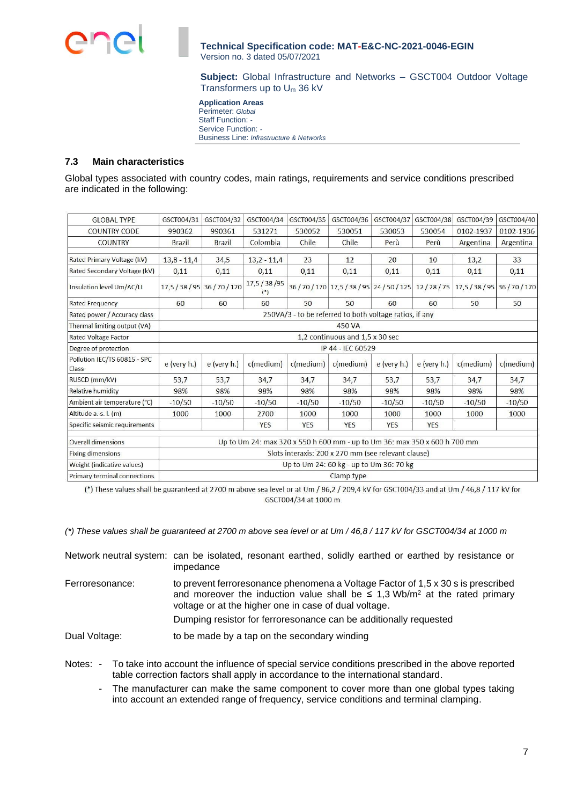**Subject:** Global Infrastructure and Networks – GSCT004 Outdoor Voltage Transformers up to U<sup>m</sup> 36 kV

**Application Areas** Perimeter: *Global* Staff Function: *-* Service Function: *-* Business Line: *Infrastructure & Networks*

# <span id="page-6-0"></span>**7.3 Main characteristics**

Global types associated with country codes, main ratings, requirements and service conditions prescribed are indicated in the following:

| <b>GLOBAL TYPE</b>                    | GSCT004/31                                              | GSCT004/32                              | GSCT004/34                                                                | GSCT004/35   | GSCT004/36        | GSCT004/37    | GSCT004/38    | GSCT004/39                                                   | GSCT004/40   |
|---------------------------------------|---------------------------------------------------------|-----------------------------------------|---------------------------------------------------------------------------|--------------|-------------------|---------------|---------------|--------------------------------------------------------------|--------------|
| <b>COUNTRY CODE</b>                   | 990362                                                  | 990361                                  | 531271                                                                    | 530052       | 530051            | 530053        | 530054        | 0102-1937                                                    | 0102-1936    |
| <b>COUNTRY</b>                        | <b>Brazil</b>                                           | <b>Brazil</b>                           | Colombia                                                                  | Chile        | Chile             | Perù          | Perù          | Argentina                                                    | Argentina    |
| Rated Primary Voltage (kV)            | $13,8 - 11,4$                                           | 34,5                                    | $13,2 - 11,4$                                                             | 23           | 12                | 20            | 10            | 13,2                                                         | 33           |
| Rated Secondary Voltage (kV)          | 0,11                                                    | 0,11                                    | 0,11                                                                      | 0,11         | 0,11              | 0,11          | 0,11          | 0,11                                                         | 0,11         |
| Insulation level Um/AC/LI             | 17,5 / 38 / 95 36 / 70 / 170                            |                                         | 17,5 / 38 / 95<br>$(*)$                                                   |              |                   |               |               | 36/70/170 17,5/38/95 24/50/125 12/28/75 17,5/38/95 36/70/170 |              |
| Rated Frequency                       | 60                                                      | 60                                      | 60                                                                        | 50           | 50                | 60            | 60            | 50                                                           | 50           |
| Rated power / Accuracy class          | 250VA/3 - to be referred to both voltage ratios, if any |                                         |                                                                           |              |                   |               |               |                                                              |              |
| Thermal limiting output (VA)          | 450 VA                                                  |                                         |                                                                           |              |                   |               |               |                                                              |              |
| <b>Rated Voltage Factor</b>           | 1,2 continuous and 1,5 x 30 sec                         |                                         |                                                                           |              |                   |               |               |                                                              |              |
| Degree of protection                  |                                                         |                                         |                                                                           |              | IP 44 - IEC 60529 |               |               |                                                              |              |
| Pollution IEC/TS 60815 - SPC<br>Class | e (very h.)                                             | $e$ (very h.)                           | $c$ (medium)                                                              | $c$ (medium) | $c$ (medium)      | $e$ (very h.) | $e$ (very h.) | $c$ (medium)                                                 | $c$ (medium) |
| RUSCD (mm/kV)                         | 53,7                                                    | 53,7                                    | 34,7                                                                      | 34,7         | 34,7              | 53,7          | 53,7          | 34,7                                                         | 34,7         |
| <b>Relative humidity</b>              | 98%                                                     | 98%                                     | 98%                                                                       | 98%          | 98%               | 98%           | 98%           | 98%                                                          | 98%          |
| Ambient air temperature (°C)          | $-10/50$                                                | $-10/50$                                | $-10/50$                                                                  | $-10/50$     | $-10/50$          | $-10/50$      | $-10/50$      | $-10/50$                                                     | $-10/50$     |
| Altitude a. s. l. (m)                 | 1000                                                    | 1000                                    | 2700                                                                      | 1000         | 1000              | 1000          | 1000          | 1000                                                         | 1000         |
| Specific seismic requirements         |                                                         |                                         | <b>YES</b>                                                                | <b>YES</b>   | <b>YES</b>        | <b>YES</b>    | <b>YES</b>    |                                                              |              |
| <b>Overall dimensions</b>             |                                                         |                                         | Up to Um 24: max 320 x 550 h 600 mm - up to Um 36: max 350 x 600 h 700 mm |              |                   |               |               |                                                              |              |
| <b>Fixing dimensions</b>              | Slots interaxis: 200 x 270 mm (see relevant clause)     |                                         |                                                                           |              |                   |               |               |                                                              |              |
| Weight (indicative values)            |                                                         | Up to Um 24: 60 kg - up to Um 36: 70 kg |                                                                           |              |                   |               |               |                                                              |              |
| Primary terminal connections          | Clamp type                                              |                                         |                                                                           |              |                   |               |               |                                                              |              |

(\*) These values shall be guaranteed at 2700 m above sea level or at Um / 86,2 / 209,4 kV for GSCT004/33 and at Um / 46,8 / 117 kV for GSCT004/34 at 1000 m

*(\*) These values shall be guaranteed at 2700 m above sea level or at Um / 46,8 / 117 kV for GSCT004/34 at 1000 m*

|                 | Network neutral system: can be isolated, resonant earthed, solidly earthed or earthed by resistance or<br>impedance                                                                                                                      |
|-----------------|------------------------------------------------------------------------------------------------------------------------------------------------------------------------------------------------------------------------------------------|
| Ferroresonance: | to prevent ferroresonance phenomena a Voltage Factor of 1,5 x 30 s is prescribed<br>and moreover the induction value shall be $\leq 1.3$ Wb/m <sup>2</sup> at the rated primary<br>voltage or at the higher one in case of dual voltage. |
|                 | Dumping resistor for ferroresonance can be additionally requested                                                                                                                                                                        |
| Dual Voltage:   | to be made by a tap on the secondary winding                                                                                                                                                                                             |

Notes: - To take into account the influence of special service conditions prescribed in the above reported table correction factors shall apply in accordance to the international standard.

- The manufacturer can make the same component to cover more than one global types taking into account an extended range of frequency, service conditions and terminal clamping.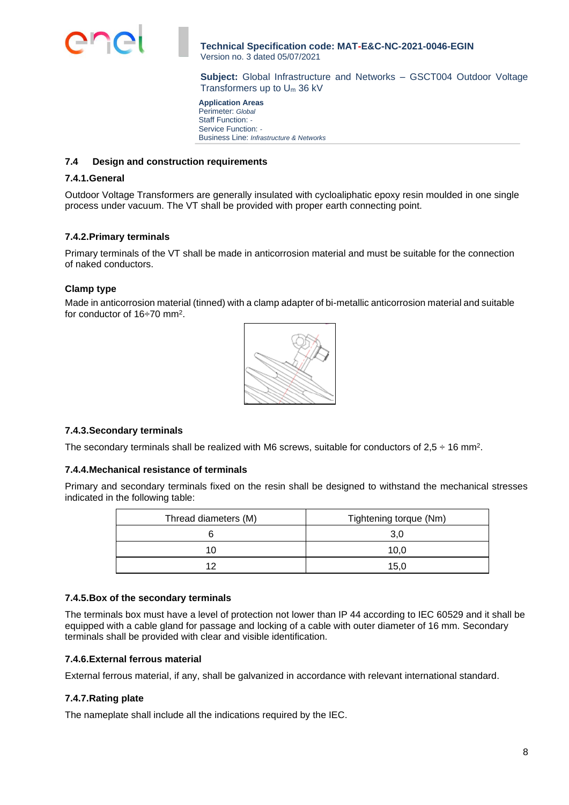

**Subject:** Global Infrastructure and Networks – GSCT004 Outdoor Voltage Transformers up to U<sup>m</sup> 36 kV

**Application Areas** Perimeter: *Global* Staff Function: *-* Service Function: *-* Business Line: *Infrastructure & Networks*

## <span id="page-7-0"></span>**7.4 Design and construction requirements**

#### **7.4.1.General**

Outdoor Voltage Transformers are generally insulated with cycloaliphatic epoxy resin moulded in one single process under vacuum. The VT shall be provided with proper earth connecting point.

#### **7.4.2.Primary terminals**

Primary terminals of the VT shall be made in anticorrosion material and must be suitable for the connection of naked conductors.

#### **Clamp type**

Made in anticorrosion material (tinned) with a clamp adapter of bi-metallic anticorrosion material and suitable for conductor of 16÷70 mm<sup>2</sup> .



### **7.4.3.Secondary terminals**

The secondary terminals shall be realized with M6 screws, suitable for conductors of 2,5  $\div$  16 mm<sup>2</sup>.

#### **7.4.4.Mechanical resistance of terminals**

Primary and secondary terminals fixed on the resin shall be designed to withstand the mechanical stresses indicated in the following table:

| Thread diameters (M) | Tightening torque (Nm) |
|----------------------|------------------------|
|                      | 3,0                    |
|                      | 10.0                   |
| 10                   | 15.0                   |

## **7.4.5.Box of the secondary terminals**

The terminals box must have a level of protection not lower than IP 44 according to IEC 60529 and it shall be equipped with a cable gland for passage and locking of a cable with outer diameter of 16 mm. Secondary terminals shall be provided with clear and visible identification.

### **7.4.6.External ferrous material**

External ferrous material, if any, shall be galvanized in accordance with relevant international standard.

### **7.4.7.Rating plate**

The nameplate shall include all the indications required by the IEC.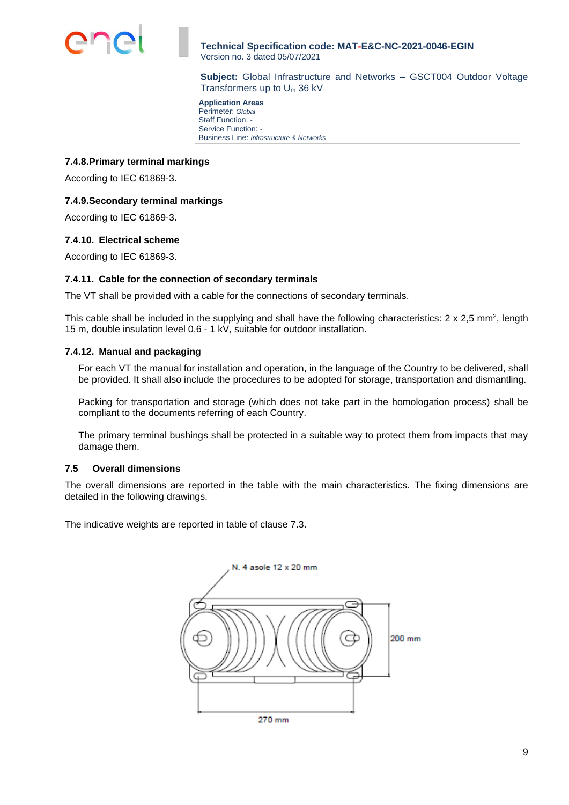

**Subject:** Global Infrastructure and Networks – GSCT004 Outdoor Voltage Transformers up to U<sup>m</sup> 36 kV

**Application Areas** Perimeter: *Global* Staff Function: *-* Service Function: *-* Business Line: *Infrastructure & Networks*

## **7.4.8.Primary terminal markings**

According to IEC 61869-3.

## **7.4.9.Secondary terminal markings**

According to IEC 61869-3.

### **7.4.10. Electrical scheme**

According to IEC 61869-3.

### **7.4.11. Cable for the connection of secondary terminals**

The VT shall be provided with a cable for the connections of secondary terminals.

This cable shall be included in the supplying and shall have the following characteristics: 2 x 2,5 mm<sup>2</sup>, length 15 m, double insulation level 0,6 - 1 kV, suitable for outdoor installation.

### **7.4.12. Manual and packaging**

For each VT the manual for installation and operation, in the language of the Country to be delivered, shall be provided. It shall also include the procedures to be adopted for storage, transportation and dismantling.

Packing for transportation and storage (which does not take part in the homologation process) shall be compliant to the documents referring of each Country.

The primary terminal bushings shall be protected in a suitable way to protect them from impacts that may damage them.

### <span id="page-8-0"></span>**7.5 Overall dimensions**

The overall dimensions are reported in the table with the main characteristics. The fixing dimensions are detailed in the following drawings.

The indicative weights are reported in table of clause 7.3.

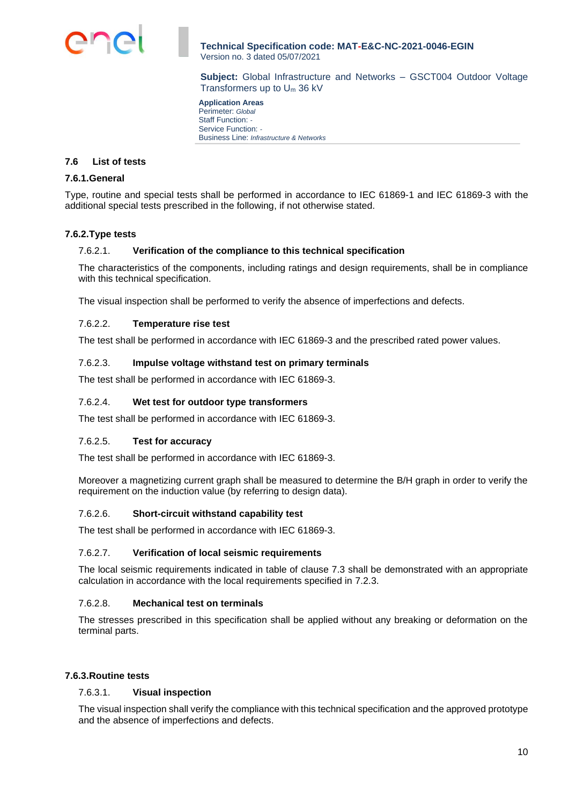

**Subject:** Global Infrastructure and Networks – GSCT004 Outdoor Voltage Transformers up to U<sup>m</sup> 36 kV

**Application Areas** Perimeter: *Global* Staff Function: *-* Service Function: *-* Business Line: *Infrastructure & Networks*

## <span id="page-9-0"></span>**7.6 List of tests**

#### **7.6.1.General**

Type, routine and special tests shall be performed in accordance to IEC 61869-1 and IEC 61869-3 with the additional special tests prescribed in the following, if not otherwise stated.

### **7.6.2.Type tests**

### 7.6.2.1. **Verification of the compliance to this technical specification**

The characteristics of the components, including ratings and design requirements, shall be in compliance with this technical specification.

The visual inspection shall be performed to verify the absence of imperfections and defects.

#### 7.6.2.2. **Temperature rise test**

The test shall be performed in accordance with IEC 61869-3 and the prescribed rated power values.

#### 7.6.2.3. **Impulse voltage withstand test on primary terminals**

The test shall be performed in accordance with IEC 61869-3.

### 7.6.2.4. **Wet test for outdoor type transformers**

The test shall be performed in accordance with IEC 61869-3.

#### 7.6.2.5. **Test for accuracy**

The test shall be performed in accordance with IEC 61869-3.

Moreover a magnetizing current graph shall be measured to determine the B/H graph in order to verify the requirement on the induction value (by referring to design data).

# 7.6.2.6. **Short-circuit withstand capability test**

The test shall be performed in accordance with IEC 61869-3.

### 7.6.2.7. **Verification of local seismic requirements**

The local seismic requirements indicated in table of clause 7.3 shall be demonstrated with an appropriate calculation in accordance with the local requirements specified in 7.2.3.

### 7.6.2.8. **Mechanical test on terminals**

The stresses prescribed in this specification shall be applied without any breaking or deformation on the terminal parts.

### **7.6.3.Routine tests**

### 7.6.3.1. **Visual inspection**

The visual inspection shall verify the compliance with this technical specification and the approved prototype and the absence of imperfections and defects.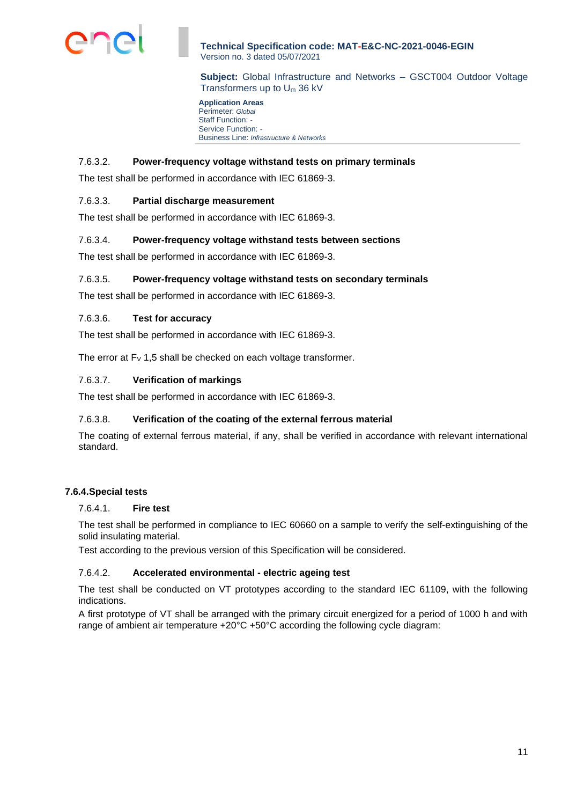

**Subject:** Global Infrastructure and Networks – GSCT004 Outdoor Voltage Transformers up to U<sup>m</sup> 36 kV

**Application Areas** Perimeter: *Global* Staff Function: *-* Service Function: *-* Business Line: *Infrastructure & Networks*

# 7.6.3.2. **Power-frequency voltage withstand tests on primary terminals**

The test shall be performed in accordance with IEC 61869-3.

## 7.6.3.3. **Partial discharge measurement**

The test shall be performed in accordance with IEC 61869-3.

### 7.6.3.4. **Power-frequency voltage withstand tests between sections**

The test shall be performed in accordance with IEC 61869-3.

### 7.6.3.5. **Power-frequency voltage withstand tests on secondary terminals**

The test shall be performed in accordance with IEC 61869-3.

#### 7.6.3.6. **Test for accuracy**

The test shall be performed in accordance with IEC 61869-3.

The error at  $F_v$  1,5 shall be checked on each voltage transformer.

### 7.6.3.7. **Verification of markings**

The test shall be performed in accordance with IEC 61869-3.

### 7.6.3.8. **Verification of the coating of the external ferrous material**

The coating of external ferrous material, if any, shall be verified in accordance with relevant international standard.

### **7.6.4.Special tests**

#### 7.6.4.1. **Fire test**

The test shall be performed in compliance to IEC 60660 on a sample to verify the self-extinguishing of the solid insulating material.

Test according to the previous version of this Specification will be considered.

## 7.6.4.2. **Accelerated environmental - electric ageing test**

The test shall be conducted on VT prototypes according to the standard IEC 61109, with the following indications.

A first prototype of VT shall be arranged with the primary circuit energized for a period of 1000 h and with range of ambient air temperature  $+20^{\circ}C +50^{\circ}C$  according the following cycle diagram: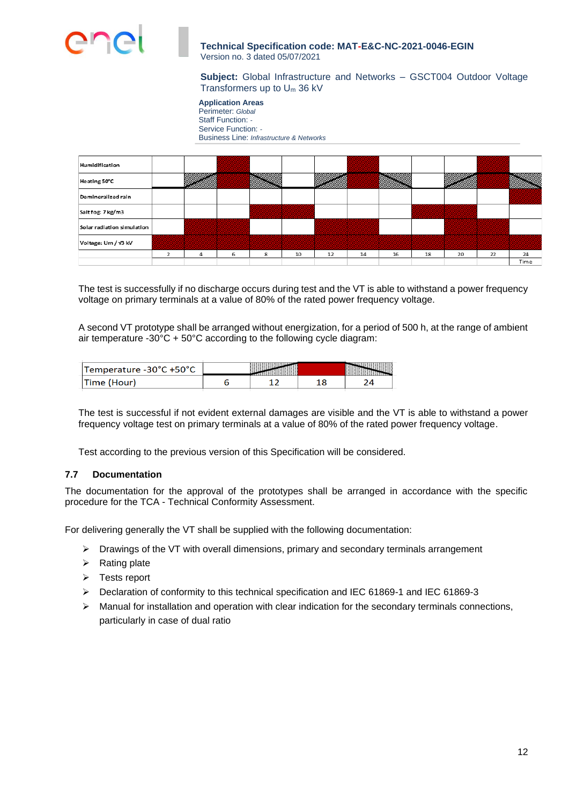

**Subject:** Global Infrastructure and Networks – GSCT004 Outdoor Voltage Transformers up to U<sup>m</sup> 36 kV

**Application Areas** Perimeter: *Global* Staff Function: *-* Service Function: *-* Business Line: *Infrastructure & Networks*



The test is successfully if no discharge occurs during test and the VT is able to withstand a power frequency voltage on primary terminals at a value of 80% of the rated power frequency voltage.

A second VT prototype shall be arranged without energization, for a period of 500 h, at the range of ambient air temperature -30°C + 50°C according to the following cycle diagram:

| 'Temperature -30°C +50°C |  |  |
|--------------------------|--|--|
|                          |  |  |

The test is successful if not evident external damages are visible and the VT is able to withstand a power frequency voltage test on primary terminals at a value of 80% of the rated power frequency voltage.

Test according to the previous version of this Specification will be considered.

# <span id="page-11-0"></span>**7.7 Documentation**

The documentation for the approval of the prototypes shall be arranged in accordance with the specific procedure for the TCA - Technical Conformity Assessment.

For delivering generally the VT shall be supplied with the following documentation:

- ➢ Drawings of the VT with overall dimensions, primary and secondary terminals arrangement
- $\triangleright$  Rating plate
- ➢ Tests report
- ➢ Declaration of conformity to this technical specification and IEC 61869-1 and IEC 61869-3
- ➢ Manual for installation and operation with clear indication for the secondary terminals connections, particularly in case of dual ratio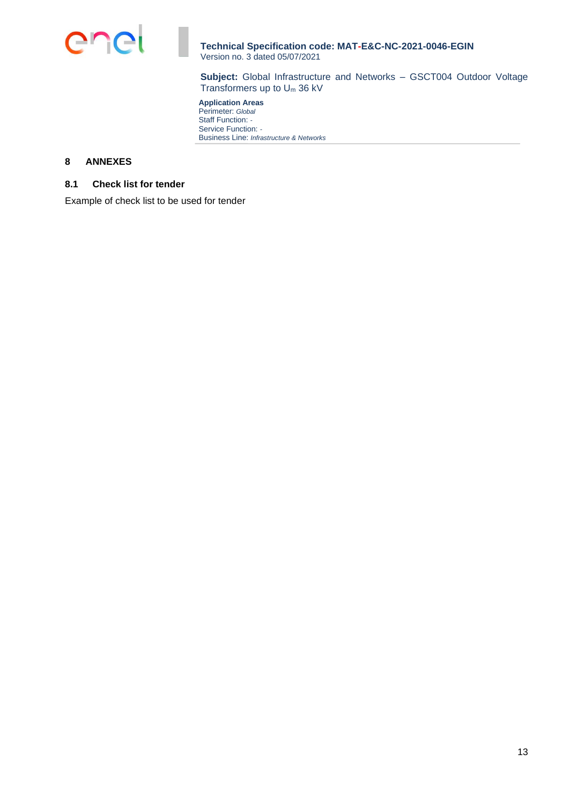

**Subject:** Global Infrastructure and Networks – GSCT004 Outdoor Voltage Transformers up to U<sup>m</sup> 36 kV

**Application Areas** Perimeter: *Global* Staff Function: *-* Service Function: *-* Business Line: *Infrastructure & Networks*

# <span id="page-12-0"></span>**8 ANNEXES**

# <span id="page-12-1"></span>**8.1 Check list for tender**

Example of check list to be used for tender